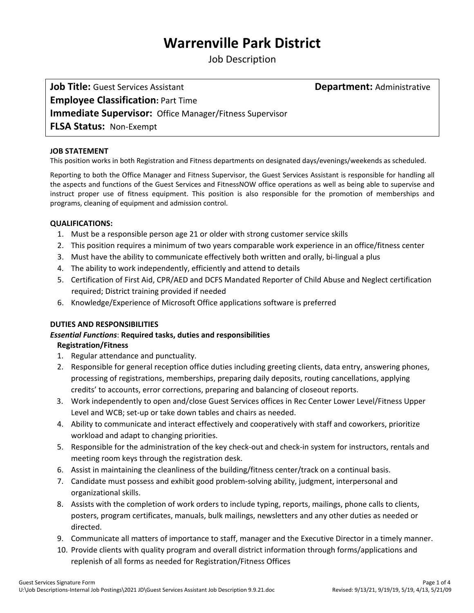# **Warrenville Park District**

Job Description

**Job Title:** Guest Services Assistant **Department:** Administrative **Employee Classification:** Part Time **Immediate Supervisor:** Office Manager/Fitness Supervisor **FLSA Status:** Non‐Exempt

#### **JOB STATEMENT**

This position works in both Registration and Fitness departments on designated days/evenings/weekends as scheduled.

Reporting to both the Office Manager and Fitness Supervisor, the Guest Services Assistant is responsible for handling all the aspects and functions of the Guest Services and FitnessNOW office operations as well as being able to supervise and instruct proper use of fitness equipment. This position is also responsible for the promotion of memberships and programs, cleaning of equipment and admission control.

#### **QUALIFICATIONS:**

- 1. Must be a responsible person age 21 or older with strong customer service skills
- 2. This position requires a minimum of two years comparable work experience in an office/fitness center
- 3. Must have the ability to communicate effectively both written and orally, bi‐lingual a plus
- 4. The ability to work independently, efficiently and attend to details
- 5. Certification of First Aid, CPR/AED and DCFS Mandated Reporter of Child Abuse and Neglect certification required; District training provided if needed
- 6. Knowledge/Experience of Microsoft Office applications software is preferred

#### **DUTIES AND RESPONSIBILITIES**

# *Essential Functions*: **Required tasks, duties and responsibilities**

#### **Registration/Fitness**

- 1. Regular attendance and punctuality.
- 2. Responsible for general reception office duties including greeting clients, data entry, answering phones, processing of registrations, memberships, preparing daily deposits, routing cancellations, applying credits' to accounts, error corrections, preparing and balancing of closeout reports.
- 3. Work independently to open and/close Guest Services offices in Rec Center Lower Level/Fitness Upper Level and WCB; set-up or take down tables and chairs as needed.
- 4. Ability to communicate and interact effectively and cooperatively with staff and coworkers, prioritize workload and adapt to changing priorities.
- 5. Responsible for the administration of the key check-out and check-in system for instructors, rentals and meeting room keys through the registration desk.
- 6. Assist in maintaining the cleanliness of the building/fitness center/track on a continual basis.
- 7. Candidate must possess and exhibit good problem‐solving ability, judgment, interpersonal and organizational skills.
- 8. Assists with the completion of work orders to include typing, reports, mailings, phone calls to clients, posters, program certificates, manuals, bulk mailings, newsletters and any other duties as needed or directed.
- 9. Communicate all matters of importance to staff, manager and the Executive Director in a timely manner.
- 10. Provide clients with quality program and overall district information through forms/applications and replenish of all forms as needed for Registration/Fitness Offices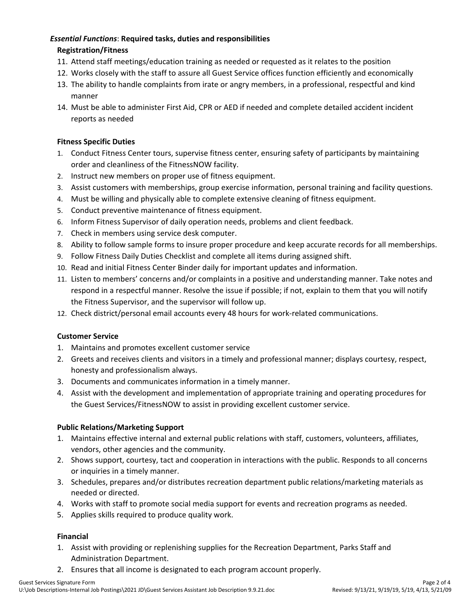## *Essential Functions*: **Required tasks, duties and responsibilities**

## **Registration/Fitness**

- 11. Attend staff meetings/education training as needed or requested as it relates to the position
- 12. Works closely with the staff to assure all Guest Service offices function efficiently and economically
- 13. The ability to handle complaints from irate or angry members, in a professional, respectful and kind manner
- 14. Must be able to administer First Aid, CPR or AED if needed and complete detailed accident incident reports as needed

## **Fitness Specific Duties**

- 1. Conduct Fitness Center tours, supervise fitness center, ensuring safety of participants by maintaining order and cleanliness of the FitnessNOW facility.
- 2. Instruct new members on proper use of fitness equipment.
- 3. Assist customers with memberships, group exercise information, personal training and facility questions.
- 4. Must be willing and physically able to complete extensive cleaning of fitness equipment.
- 5. Conduct preventive maintenance of fitness equipment.
- 6. Inform Fitness Supervisor of daily operation needs, problems and client feedback.
- 7. Check in members using service desk computer.
- 8. Ability to follow sample forms to insure proper procedure and keep accurate records for all memberships.
- 9. Follow Fitness Daily Duties Checklist and complete all items during assigned shift.
- 10. Read and initial Fitness Center Binder daily for important updates and information.
- 11. Listen to members' concerns and/or complaints in a positive and understanding manner. Take notes and respond in a respectful manner. Resolve the issue if possible; if not, explain to them that you will notify the Fitness Supervisor, and the supervisor will follow up.
- 12. Check district/personal email accounts every 48 hours for work‐related communications.

## **Customer Service**

- 1. Maintains and promotes excellent customer service
- 2. Greets and receives clients and visitors in a timely and professional manner; displays courtesy, respect, honesty and professionalism always.
- 3. Documents and communicates information in a timely manner.
- 4. Assist with the development and implementation of appropriate training and operating procedures for the Guest Services/FitnessNOW to assist in providing excellent customer service.

## **Public Relations/Marketing Support**

- 1. Maintains effective internal and external public relations with staff, customers, volunteers, affiliates, vendors, other agencies and the community.
- 2. Shows support, courtesy, tact and cooperation in interactions with the public. Responds to all concerns or inquiries in a timely manner.
- 3. Schedules, prepares and/or distributes recreation department public relations/marketing materials as needed or directed.
- 4. Works with staff to promote social media support for events and recreation programs as needed.
- 5. Applies skills required to produce quality work.

## **Financial**

- 1. Assist with providing or replenishing supplies for the Recreation Department, Parks Staff and Administration Department.
- 2. Ensures that all income is designated to each program account properly.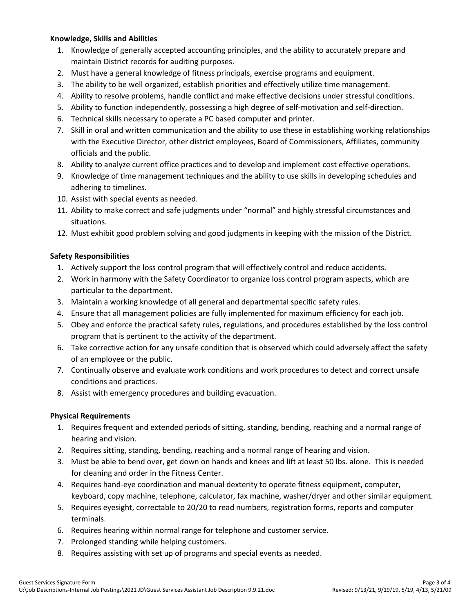#### **Knowledge, Skills and Abilities**

- 1. Knowledge of generally accepted accounting principles, and the ability to accurately prepare and maintain District records for auditing purposes.
- 2. Must have a general knowledge of fitness principals, exercise programs and equipment.
- 3. The ability to be well organized, establish priorities and effectively utilize time management.
- 4. Ability to resolve problems, handle conflict and make effective decisions under stressful conditions.
- 5. Ability to function independently, possessing a high degree of self-motivation and self-direction.
- 6. Technical skills necessary to operate a PC based computer and printer.
- 7. Skill in oral and written communication and the ability to use these in establishing working relationships with the Executive Director, other district employees, Board of Commissioners, Affiliates, community officials and the public.
- 8. Ability to analyze current office practices and to develop and implement cost effective operations.
- 9. Knowledge of time management techniques and the ability to use skills in developing schedules and adhering to timelines.
- 10. Assist with special events as needed.
- 11. Ability to make correct and safe judgments under "normal" and highly stressful circumstances and situations.
- 12. Must exhibit good problem solving and good judgments in keeping with the mission of the District.

## **Safety Responsibilities**

- 1. Actively support the loss control program that will effectively control and reduce accidents.
- 2. Work in harmony with the Safety Coordinator to organize loss control program aspects, which are particular to the department.
- 3. Maintain a working knowledge of all general and departmental specific safety rules.
- 4. Ensure that all management policies are fully implemented for maximum efficiency for each job.
- 5. Obey and enforce the practical safety rules, regulations, and procedures established by the loss control program that is pertinent to the activity of the department.
- 6. Take corrective action for any unsafe condition that is observed which could adversely affect the safety of an employee or the public.
- 7. Continually observe and evaluate work conditions and work procedures to detect and correct unsafe conditions and practices.
- 8. Assist with emergency procedures and building evacuation.

## **Physical Requirements**

- 1. Requires frequent and extended periods of sitting, standing, bending, reaching and a normal range of hearing and vision.
- 2. Requires sitting, standing, bending, reaching and a normal range of hearing and vision.
- 3. Must be able to bend over, get down on hands and knees and lift at least 50 lbs. alone. This is needed for cleaning and order in the Fitness Center.
- 4. Requires hand-eye coordination and manual dexterity to operate fitness equipment, computer, keyboard, copy machine, telephone, calculator, fax machine, washer/dryer and other similar equipment.
- 5. Requires eyesight, correctable to 20/20 to read numbers, registration forms, reports and computer terminals.
- 6. Requires hearing within normal range for telephone and customer service.
- 7. Prolonged standing while helping customers.
- 8. Requires assisting with set up of programs and special events as needed.